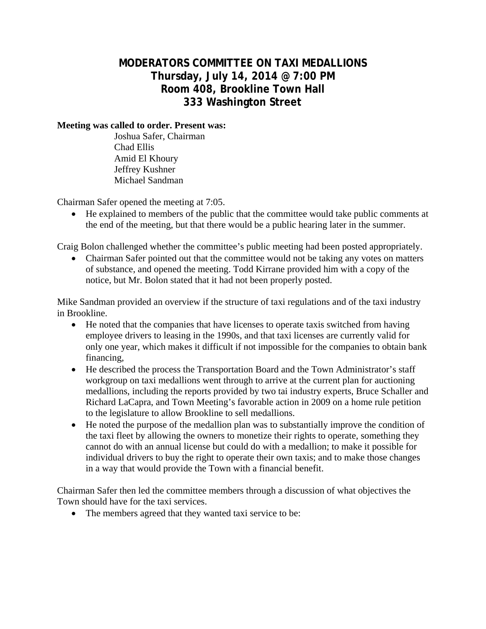## **MODERATORS COMMITTEE ON TAXI MEDALLIONS Thursday, July 14, 2014 @ 7:00 PM Room 408, Brookline Town Hall 333 Washington Street**

## **Meeting was called to order. Present was:**

 Joshua Safer, Chairman Chad Ellis Amid El Khoury Jeffrey Kushner Michael Sandman

Chairman Safer opened the meeting at 7:05.

 He explained to members of the public that the committee would take public comments at the end of the meeting, but that there would be a public hearing later in the summer.

Craig Bolon challenged whether the committee's public meeting had been posted appropriately.

• Chairman Safer pointed out that the committee would not be taking any votes on matters of substance, and opened the meeting. Todd Kirrane provided him with a copy of the notice, but Mr. Bolon stated that it had not been properly posted.

Mike Sandman provided an overview if the structure of taxi regulations and of the taxi industry in Brookline.

- He noted that the companies that have licenses to operate taxis switched from having employee drivers to leasing in the 1990s, and that taxi licenses are currently valid for only one year, which makes it difficult if not impossible for the companies to obtain bank financing,
- He described the process the Transportation Board and the Town Administrator's staff workgroup on taxi medallions went through to arrive at the current plan for auctioning medallions, including the reports provided by two tai industry experts, Bruce Schaller and Richard LaCapra, and Town Meeting's favorable action in 2009 on a home rule petition to the legislature to allow Brookline to sell medallions.
- He noted the purpose of the medallion plan was to substantially improve the condition of the taxi fleet by allowing the owners to monetize their rights to operate, something they cannot do with an annual license but could do with a medallion; to make it possible for individual drivers to buy the right to operate their own taxis; and to make those changes in a way that would provide the Town with a financial benefit.

Chairman Safer then led the committee members through a discussion of what objectives the Town should have for the taxi services.

• The members agreed that they wanted taxi service to be: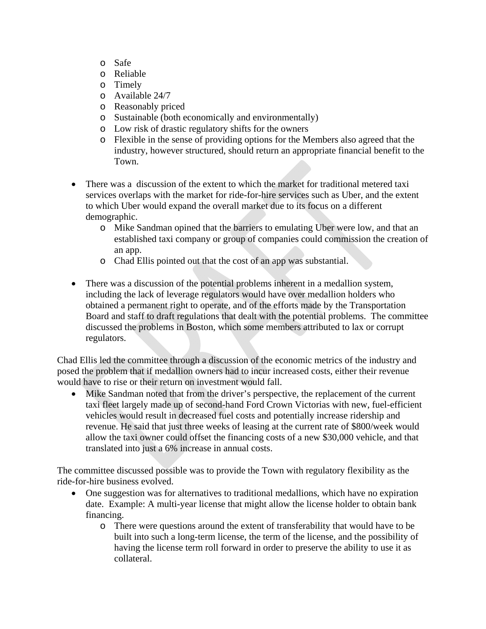- o Safe
- o Reliable
- o Timely
- o Available 24/7
- o Reasonably priced
- o Sustainable (both economically and environmentally)
- o Low risk of drastic regulatory shifts for the owners
- o Flexible in the sense of providing options for the Members also agreed that the industry, however structured, should return an appropriate financial benefit to the Town.
- There was a discussion of the extent to which the market for traditional metered taxi services overlaps with the market for ride-for-hire services such as Uber, and the extent to which Uber would expand the overall market due to its focus on a different demographic.
	- o Mike Sandman opined that the barriers to emulating Uber were low, and that an established taxi company or group of companies could commission the creation of an app.
	- o Chad Ellis pointed out that the cost of an app was substantial.
- There was a discussion of the potential problems inherent in a medallion system, including the lack of leverage regulators would have over medallion holders who obtained a permanent right to operate, and of the efforts made by the Transportation Board and staff to draft regulations that dealt with the potential problems. The committee discussed the problems in Boston, which some members attributed to lax or corrupt regulators.

Chad Ellis led the committee through a discussion of the economic metrics of the industry and posed the problem that if medallion owners had to incur increased costs, either their revenue would have to rise or their return on investment would fall.

 Mike Sandman noted that from the driver's perspective, the replacement of the current taxi fleet largely made up of second-hand Ford Crown Victorias with new, fuel-efficient vehicles would result in decreased fuel costs and potentially increase ridership and revenue. He said that just three weeks of leasing at the current rate of \$800/week would allow the taxi owner could offset the financing costs of a new \$30,000 vehicle, and that translated into just a 6% increase in annual costs.

The committee discussed possible was to provide the Town with regulatory flexibility as the ride-for-hire business evolved.

- One suggestion was for alternatives to traditional medallions, which have no expiration date. Example: A multi-year license that might allow the license holder to obtain bank financing.
	- o There were questions around the extent of transferability that would have to be built into such a long-term license, the term of the license, and the possibility of having the license term roll forward in order to preserve the ability to use it as collateral.